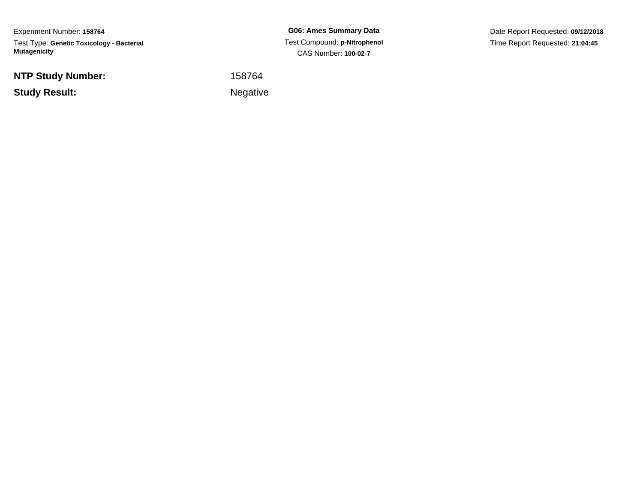Experiment Number: **158764**Test Type: **Genetic Toxicology - Bacterial Mutagenicity**

**NTP Study Number:**

**Study Result:**

**G06: Ames Summary Data** Test Compound: **p-Nitrophenol**CAS Number: **100-02-7**

Date Report Requested: **09/12/2018**Time Report Requested: **21:04:45**

 <sup>158764</sup>**Example 2** is a set of the set of the Negative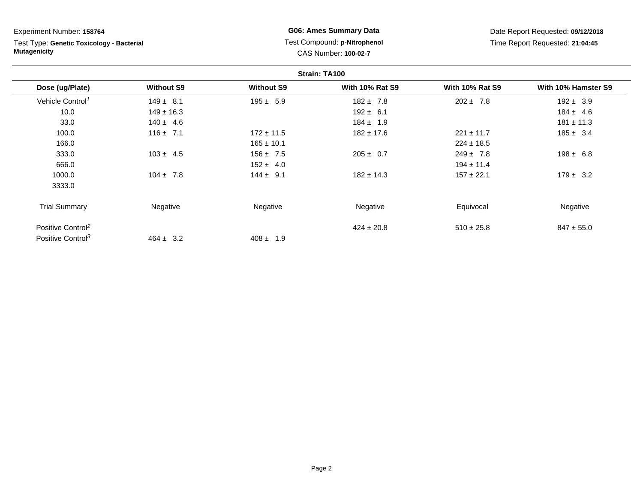Test Type: **Genetic Toxicology - Bacterial Mutagenicity**

### **G06: Ames Summary Data** Test Compound: **p-Nitrophenol** CAS Number: **100-02-7**

|                               |                   |                   | Strain: TA100          |                        |                     |
|-------------------------------|-------------------|-------------------|------------------------|------------------------|---------------------|
| Dose (ug/Plate)               | <b>Without S9</b> | <b>Without S9</b> | <b>With 10% Rat S9</b> | <b>With 10% Rat S9</b> | With 10% Hamster S9 |
| Vehicle Control <sup>1</sup>  | $149 \pm 8.1$     | $195 \pm 5.9$     | $182 \pm 7.8$          | $202 \pm 7.8$          | $192 \pm 3.9$       |
| 10.0                          | $149 \pm 16.3$    |                   | $192 \pm 6.1$          |                        | $184 \pm 4.6$       |
| 33.0                          | $140 \pm 4.6$     |                   | $184 \pm 1.9$          |                        | $181 \pm 11.3$      |
| 100.0                         | $116 \pm 7.1$     | $172 \pm 11.5$    | $182 \pm 17.6$         | $221 \pm 11.7$         | $185 \pm 3.4$       |
| 166.0                         |                   | $165 \pm 10.1$    |                        | $224 \pm 18.5$         |                     |
| 333.0                         | $103 \pm 4.5$     | $156 \pm 7.5$     | $205 \pm 0.7$          | $249 \pm 7.8$          | $198 \pm 6.8$       |
| 666.0                         |                   | $152 \pm 4.0$     |                        | $194 \pm 11.4$         |                     |
| 1000.0                        | $104 \pm 7.8$     | $144 \pm 9.1$     | $182 \pm 14.3$         | $157 \pm 22.1$         | $179 \pm 3.2$       |
| 3333.0                        |                   |                   |                        |                        |                     |
| <b>Trial Summary</b>          | Negative          | Negative          | Negative               | Equivocal              | Negative            |
| Positive Control <sup>2</sup> |                   |                   | $424 \pm 20.8$         | $510 \pm 25.8$         | $847 \pm 55.0$      |
| Positive Control <sup>3</sup> | $464 \pm 3.2$     | $408 \pm 1.9$     |                        |                        |                     |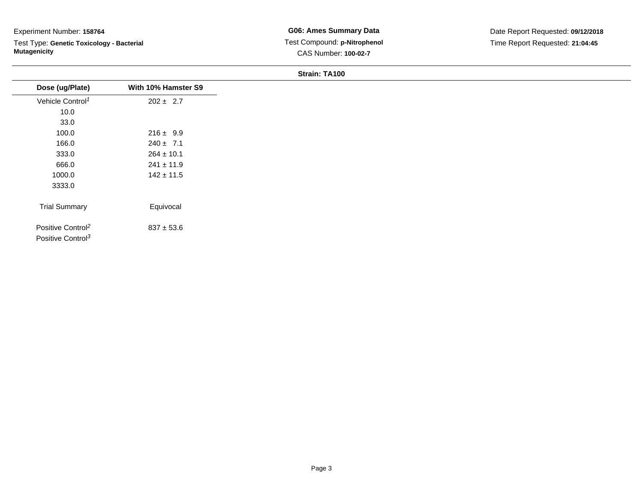Test Type: **Genetic Toxicology - Bacterial Mutagenicity**

| Dose (ug/Plate)               | With 10% Hamster S9 |
|-------------------------------|---------------------|
| Vehicle Control <sup>1</sup>  | $202 \pm 2.7$       |
| 10.0                          |                     |
| 33.0                          |                     |
| 100.0                         | $216 \pm 9.9$       |
| 166.0                         | $240 \pm 7.1$       |
| 333.0                         | $264 \pm 10.1$      |
| 666.0                         | $241 \pm 11.9$      |
| 1000.0                        | $142 \pm 11.5$      |
| 3333.0                        |                     |
|                               |                     |
| <b>Trial Summary</b>          | Equivocal           |
|                               |                     |
| Positive Control <sup>2</sup> | $837 \pm 53.6$      |
| Positive Control <sup>3</sup> |                     |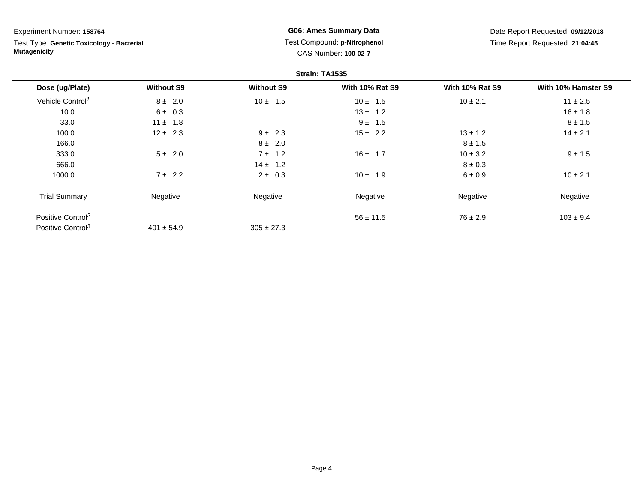Test Type: **Genetic Toxicology - Bacterial Mutagenicity**

### **G06: Ames Summary Data** Test Compound: **p-Nitrophenol** CAS Number: **100-02-7**

|                               |                   |                   | Strain: TA1535         |                        |                     |
|-------------------------------|-------------------|-------------------|------------------------|------------------------|---------------------|
| Dose (ug/Plate)               | <b>Without S9</b> | <b>Without S9</b> | <b>With 10% Rat S9</b> | <b>With 10% Rat S9</b> | With 10% Hamster S9 |
| Vehicle Control <sup>1</sup>  | $8 \pm 2.0$       | $10 \pm 1.5$      | $10 \pm 1.5$           | $10 \pm 2.1$           | $11 \pm 2.5$        |
| 10.0                          | $6 \pm 0.3$       |                   | $13 \pm 1.2$           |                        | $16 \pm 1.8$        |
| 33.0                          | $11 \pm 1.8$      |                   | $9 \pm 1.5$            |                        | $8 \pm 1.5$         |
| 100.0                         | $12 \pm 2.3$      | $9 \pm 2.3$       | $15 \pm 2.2$           | $13 \pm 1.2$           | $14 \pm 2.1$        |
| 166.0                         |                   | $8 \pm 2.0$       |                        | $8 \pm 1.5$            |                     |
| 333.0                         | $5 \pm 2.0$       | $7 \pm 1.2$       | $16 \pm 1.7$           | $10 \pm 3.2$           | $9 \pm 1.5$         |
| 666.0                         |                   | $14 \pm 1.2$      |                        | $8 \pm 0.3$            |                     |
| 1000.0                        | $7 \pm 2.2$       | $2 \pm 0.3$       | $10 \pm 1.9$           | 6 ± 0.9                | $10 \pm 2.1$        |
| <b>Trial Summary</b>          | Negative          | Negative          | Negative               | Negative               | Negative            |
| Positive Control <sup>2</sup> |                   |                   | $56 \pm 11.5$          | $76 \pm 2.9$           | $103 \pm 9.4$       |
| Positive Control <sup>3</sup> | $401 \pm 54.9$    | $305 \pm 27.3$    |                        |                        |                     |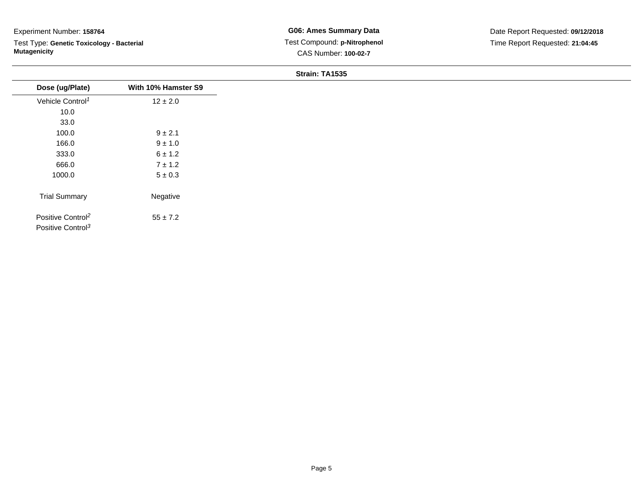Test Type: **Genetic Toxicology - Bacterial Mutagenicity**

| Dose (ug/Plate)                                                | With 10% Hamster S9 |
|----------------------------------------------------------------|---------------------|
| Vehicle Control <sup>1</sup>                                   | $12 \pm 2.0$        |
| 10.0                                                           |                     |
| 33.0                                                           |                     |
| 100.0                                                          | $9 \pm 2.1$         |
| 166.0                                                          | $9 \pm 1.0$         |
| 333.0                                                          | 6 ± 1.2             |
| 666.0                                                          | $7 \pm 1.2$         |
| 1000.0                                                         | $5\pm0.3$           |
| <b>Trial Summary</b>                                           | Negative            |
| Positive Control <sup>2</sup><br>Positive Control <sup>3</sup> | $55 \pm 7.2$        |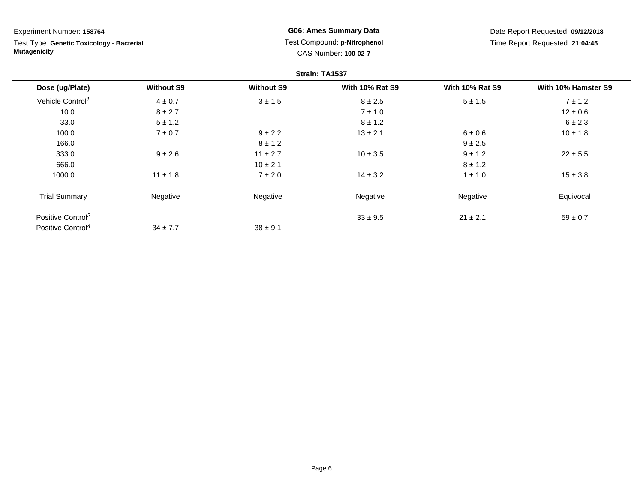Test Type: **Genetic Toxicology - Bacterial Mutagenicity**

**G06: Ames Summary Data** Test Compound: **p-Nitrophenol** CAS Number: **100-02-7**

|                               |                   |                   | Strain: TA1537         |                        |                     |
|-------------------------------|-------------------|-------------------|------------------------|------------------------|---------------------|
| Dose (ug/Plate)               | <b>Without S9</b> | <b>Without S9</b> | <b>With 10% Rat S9</b> | <b>With 10% Rat S9</b> | With 10% Hamster S9 |
| Vehicle Control <sup>1</sup>  | $4 \pm 0.7$       | $3 \pm 1.5$       | $8 \pm 2.5$            | $5 \pm 1.5$            | $7 \pm 1.2$         |
| 10.0                          | $8 \pm 2.7$       |                   | $7 \pm 1.0$            |                        | $12 \pm 0.6$        |
| 33.0                          | $5 \pm 1.2$       |                   | $8 \pm 1.2$            |                        | $6 \pm 2.3$         |
| 100.0                         | $7 \pm 0.7$       | $9 \pm 2.2$       | $13 \pm 2.1$           | 6 ± 0.6                | $10 \pm 1.8$        |
| 166.0                         |                   | $8 \pm 1.2$       |                        | $9 \pm 2.5$            |                     |
| 333.0                         | $9 \pm 2.6$       | $11 \pm 2.7$      | $10 \pm 3.5$           | $9 \pm 1.2$            | $22 \pm 5.5$        |
| 666.0                         |                   | $10 \pm 2.1$      |                        | $8 \pm 1.2$            |                     |
| 1000.0                        | $11 \pm 1.8$      | $7 \pm 2.0$       | $14 \pm 3.2$           | $1 \pm 1.0$            | $15 \pm 3.8$        |
| <b>Trial Summary</b>          | Negative          | Negative          | Negative               | Negative               | Equivocal           |
| Positive Control <sup>2</sup> |                   |                   | $33 \pm 9.5$           | $21 \pm 2.1$           | $59 \pm 0.7$        |
| Positive Control <sup>4</sup> | $34 \pm 7.7$      | $38 \pm 9.1$      |                        |                        |                     |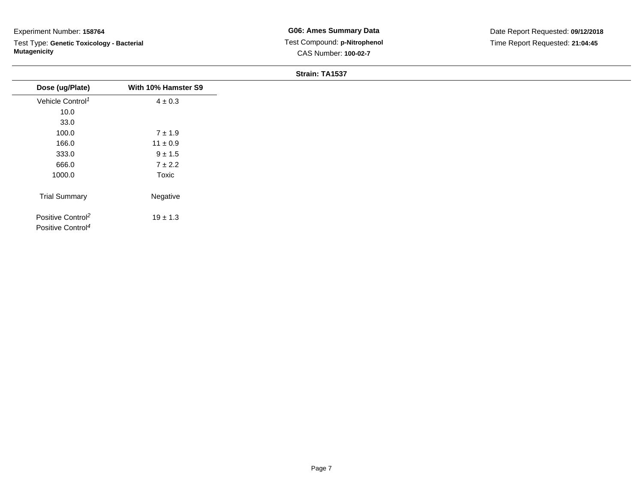Test Type: **Genetic Toxicology - Bacterial Mutagenicity**

| Dose (ug/Plate)                                                | With 10% Hamster S9 |
|----------------------------------------------------------------|---------------------|
| Vehicle Control <sup>1</sup>                                   | $4 \pm 0.3$         |
| 10.0                                                           |                     |
| 33.0                                                           |                     |
| 100.0                                                          | $7 \pm 1.9$         |
| 166.0                                                          | $11 \pm 0.9$        |
| 333.0                                                          | $9 \pm 1.5$         |
| 666.0                                                          | $7 \pm 2.2$         |
| 1000.0                                                         | Toxic               |
| <b>Trial Summary</b>                                           | Negative            |
| Positive Control <sup>2</sup><br>Positive Control <sup>4</sup> | $19 \pm 1.3$        |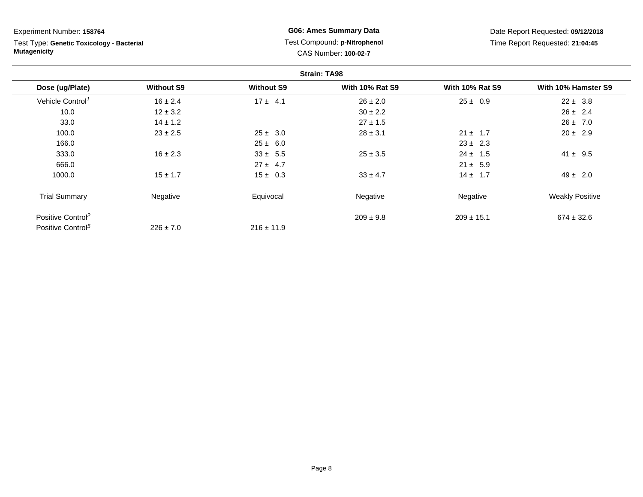Test Type: **Genetic Toxicology - Bacterial Mutagenicity**

**G06: Ames Summary Data** Test Compound: **p-Nitrophenol** CAS Number: **100-02-7**

|                               |                   |                   | <b>Strain: TA98</b>    |                        |                        |
|-------------------------------|-------------------|-------------------|------------------------|------------------------|------------------------|
| Dose (ug/Plate)               | <b>Without S9</b> | <b>Without S9</b> | <b>With 10% Rat S9</b> | <b>With 10% Rat S9</b> | With 10% Hamster S9    |
| Vehicle Control <sup>1</sup>  | $16 \pm 2.4$      | $17 \pm 4.1$      | $26 \pm 2.0$           | $25 \pm 0.9$           | $22 \pm 3.8$           |
| 10.0                          | $12 \pm 3.2$      |                   | $30 \pm 2.2$           |                        | $26 \pm 2.4$           |
| 33.0                          | $14 \pm 1.2$      |                   | $27 \pm 1.5$           |                        | $26 \pm 7.0$           |
| 100.0                         | $23 \pm 2.5$      | $25 \pm 3.0$      | $28 \pm 3.1$           | $21 \pm 1.7$           | $20 \pm 2.9$           |
| 166.0                         |                   | $25 \pm 6.0$      |                        | $23 \pm 2.3$           |                        |
| 333.0                         | $16 \pm 2.3$      | $33 \pm 5.5$      | $25 \pm 3.5$           | $24 \pm 1.5$           | $41 \pm 9.5$           |
| 666.0                         |                   | $27 \pm 4.7$      |                        | $21 \pm 5.9$           |                        |
| 1000.0                        | $15 \pm 1.7$      | $15 \pm 0.3$      | $33 \pm 4.7$           | $14 \pm 1.7$           | $49 \pm 2.0$           |
| <b>Trial Summary</b>          | Negative          | Equivocal         | Negative               | Negative               | <b>Weakly Positive</b> |
| Positive Control <sup>2</sup> |                   |                   | $209 \pm 9.8$          | $209 \pm 15.1$         | $674 \pm 32.6$         |
| Positive Control <sup>5</sup> | $226 \pm 7.0$     | $216 \pm 11.9$    |                        |                        |                        |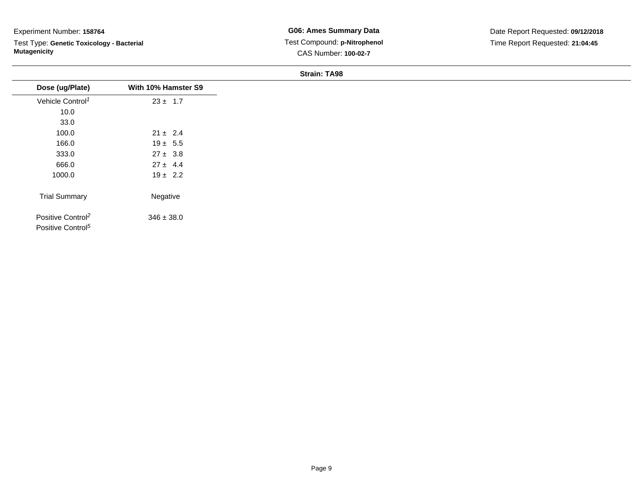Test Type: **Genetic Toxicology - Bacterial Mutagenicity**

| Dose (ug/Plate)                                                | With 10% Hamster S9 |
|----------------------------------------------------------------|---------------------|
| Vehicle Control <sup>1</sup>                                   | $23 \pm 1.7$        |
| 10.0                                                           |                     |
| 33.0                                                           |                     |
| 100.0                                                          | $21 \pm 2.4$        |
| 166.0                                                          | $19 \pm 5.5$        |
| 333.0                                                          | $27 \pm 3.8$        |
| 666.0                                                          | $27 \pm 4.4$        |
| 1000.0                                                         | $19 \pm 2.2$        |
|                                                                |                     |
| <b>Trial Summary</b>                                           | Negative            |
| Positive Control <sup>2</sup><br>Positive Control <sup>5</sup> | $346 \pm 38.0$      |